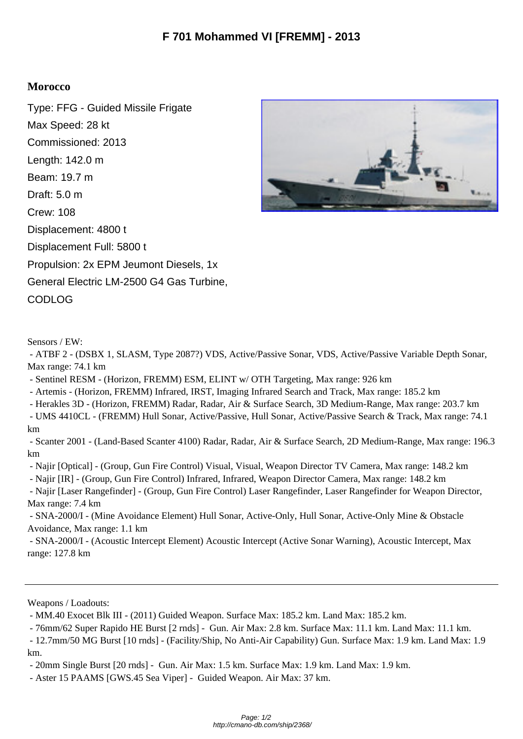## **Morocco**

Type: FFG - Guided Missile Frigate Max Speed: 28 kt Commissioned: 2013 Length: 142.0 m Beam: 19.7 m Draft: 5.0 m Crew: 108 Displacement: 4800 t Displacement Full: 5800 t Propulsion: 2x EPM Jeumont Diesels, 1x General Electric LM-2500 G4 Gas Turbine, CODLOG



Sensors / EW:

 - ATBF 2 - (DSBX 1, SLASM, Type 2087?) VDS, Active/Passive Sonar, VDS, Active/Passive Variable Depth Sonar, Max range: 74.1 km

- Sentinel RESM - (Horizon, FREMM) ESM, ELINT w/ OTH Targeting, Max range: 926 km

- Artemis - (Horizon, FREMM) Infrared, IRST, Imaging Infrared Search and Track, Max range: 185.2 km

- Herakles 3D - (Horizon, FREMM) Radar, Radar, Air & Surface Search, 3D Medium-Range, Max range: 203.7 km

 - UMS 4410CL - (FREMM) Hull Sonar, Active/Passive, Hull Sonar, Active/Passive Search & Track, Max range: 74.1 km

 - Scanter 2001 - (Land-Based Scanter 4100) Radar, Radar, Air & Surface Search, 2D Medium-Range, Max range: 196.3 km

- Najir [Optical] - (Group, Gun Fire Control) Visual, Visual, Weapon Director TV Camera, Max range: 148.2 km

- Najir [IR] - (Group, Gun Fire Control) Infrared, Infrared, Weapon Director Camera, Max range: 148.2 km

 - Najir [Laser Rangefinder] - (Group, Gun Fire Control) Laser Rangefinder, Laser Rangefinder for Weapon Director, Max range: 7.4 km

 - SNA-2000/I - (Mine Avoidance Element) Hull Sonar, Active-Only, Hull Sonar, Active-Only Mine & Obstacle Avoidance, Max range: 1.1 km

 - SNA-2000/I - (Acoustic Intercept Element) Acoustic Intercept (Active Sonar Warning), Acoustic Intercept, Max range: 127.8 km

Weapons / Loadouts:

- MM.40 Exocet Blk III - (2011) Guided Weapon. Surface Max: 185.2 km. Land Max: 185.2 km.

- 76mm/62 Super Rapido HE Burst [2 rnds] - Gun. Air Max: 2.8 km. Surface Max: 11.1 km. Land Max: 11.1 km.

 - 12.7mm/50 MG Burst [10 rnds] - (Facility/Ship, No Anti-Air Capability) Gun. Surface Max: 1.9 km. Land Max: 1.9 km.

- 20mm Single Burst [20 rnds] - Gun. Air Max: 1.5 km. Surface Max: 1.9 km. Land Max: 1.9 km.

- Aster 15 PAAMS [GWS.45 Sea Viper] - Guided Weapon. Air Max: 37 km.